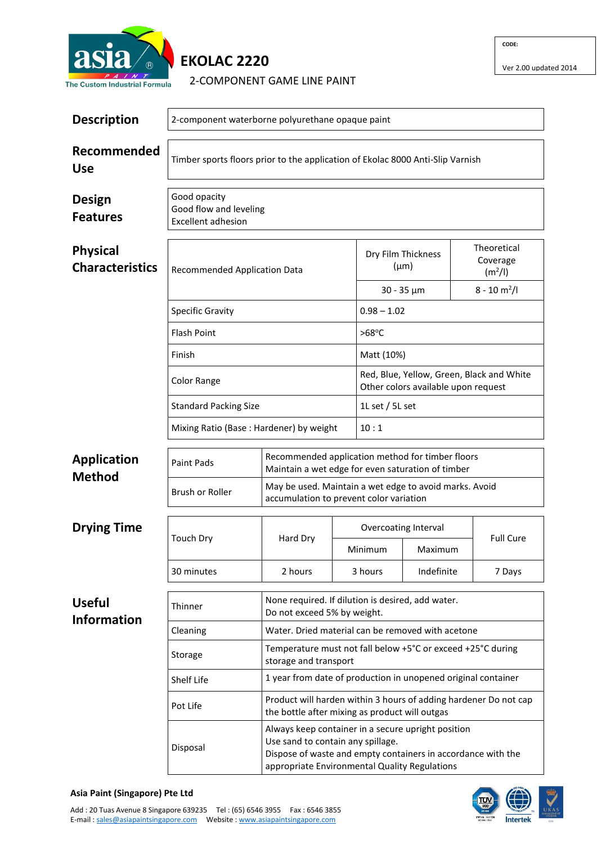

## **EKOLAC 2220**

2-COMPONENT GAME LINE PAINT

Ver 2.00 updated 2014

| <b>Description</b>                        | 2-component waterborne polyurethane opaque paint                                                                               |                                                                                                       |         |                                                                                                                                                                     |                 |  |                                                |  |  |
|-------------------------------------------|--------------------------------------------------------------------------------------------------------------------------------|-------------------------------------------------------------------------------------------------------|---------|---------------------------------------------------------------------------------------------------------------------------------------------------------------------|-----------------|--|------------------------------------------------|--|--|
| Recommended<br><b>Use</b>                 | Timber sports floors prior to the application of Ekolac 8000 Anti-Slip Varnish                                                 |                                                                                                       |         |                                                                                                                                                                     |                 |  |                                                |  |  |
| <b>Design</b><br><b>Features</b>          | Good opacity<br>Good flow and leveling<br><b>Excellent adhesion</b>                                                            |                                                                                                       |         |                                                                                                                                                                     |                 |  |                                                |  |  |
| <b>Physical</b><br><b>Characteristics</b> | Recommended Application Data                                                                                                   |                                                                                                       |         | Dry Film Thickness<br>$(\mu m)$                                                                                                                                     |                 |  | Theoretical<br>Coverage<br>(m <sup>2</sup> /I) |  |  |
|                                           |                                                                                                                                |                                                                                                       |         | $30 - 35 \mu m$                                                                                                                                                     |                 |  | $8 - 10 m2/I$                                  |  |  |
|                                           | <b>Specific Gravity</b>                                                                                                        |                                                                                                       |         | $0.98 - 1.02$                                                                                                                                                       |                 |  |                                                |  |  |
|                                           | <b>Flash Point</b>                                                                                                             |                                                                                                       |         | $>68^{\circ}$ C                                                                                                                                                     |                 |  |                                                |  |  |
|                                           | Finish                                                                                                                         |                                                                                                       |         | Matt (10%)                                                                                                                                                          |                 |  |                                                |  |  |
|                                           | <b>Color Range</b>                                                                                                             |                                                                                                       |         | Red, Blue, Yellow, Green, Black and White<br>Other colors available upon request                                                                                    |                 |  |                                                |  |  |
|                                           | <b>Standard Packing Size</b>                                                                                                   |                                                                                                       |         |                                                                                                                                                                     | 1L set / 5L set |  |                                                |  |  |
|                                           | Mixing Ratio (Base: Hardener) by weight                                                                                        |                                                                                                       |         | 10:1                                                                                                                                                                |                 |  |                                                |  |  |
| <b>Application</b><br><b>Method</b>       | <b>Paint Pads</b>                                                                                                              | Recommended application method for timber floors<br>Maintain a wet edge for even saturation of timber |         |                                                                                                                                                                     |                 |  |                                                |  |  |
|                                           | <b>Brush or Roller</b>                                                                                                         | May be used. Maintain a wet edge to avoid marks. Avoid<br>accumulation to prevent color variation     |         |                                                                                                                                                                     |                 |  |                                                |  |  |
| <b>Drying Time</b>                        | <b>Touch Dry</b>                                                                                                               | Hard Dry                                                                                              |         | Overcoating Interval                                                                                                                                                |                 |  |                                                |  |  |
|                                           |                                                                                                                                |                                                                                                       |         | Minimum                                                                                                                                                             | Maximum         |  | <b>Full Cure</b>                               |  |  |
|                                           | 30 minutes                                                                                                                     | 2 hours                                                                                               | 3 hours |                                                                                                                                                                     | Indefinite      |  | 7 Days                                         |  |  |
| <b>Useful</b><br><b>Information</b>       | Thinner                                                                                                                        | None required. If dilution is desired, add water.<br>Do not exceed 5% by weight.                      |         |                                                                                                                                                                     |                 |  |                                                |  |  |
|                                           | Cleaning                                                                                                                       | Water. Dried material can be removed with acetone                                                     |         |                                                                                                                                                                     |                 |  |                                                |  |  |
|                                           | Storage                                                                                                                        | Temperature must not fall below +5°C or exceed +25°C during<br>storage and transport                  |         |                                                                                                                                                                     |                 |  |                                                |  |  |
|                                           | Shelf Life                                                                                                                     | 1 year from date of production in unopened original container                                         |         |                                                                                                                                                                     |                 |  |                                                |  |  |
|                                           | Product will harden within 3 hours of adding hardener Do not cap<br>Pot Life<br>the bottle after mixing as product will outgas |                                                                                                       |         |                                                                                                                                                                     |                 |  |                                                |  |  |
|                                           | Disposal                                                                                                                       | Use sand to contain any spillage.                                                                     |         | Always keep container in a secure upright position<br>Dispose of waste and empty containers in accordance with the<br>appropriate Environmental Quality Regulations |                 |  |                                                |  |  |

## **Asia Paint (Singapore) Pte Ltd**